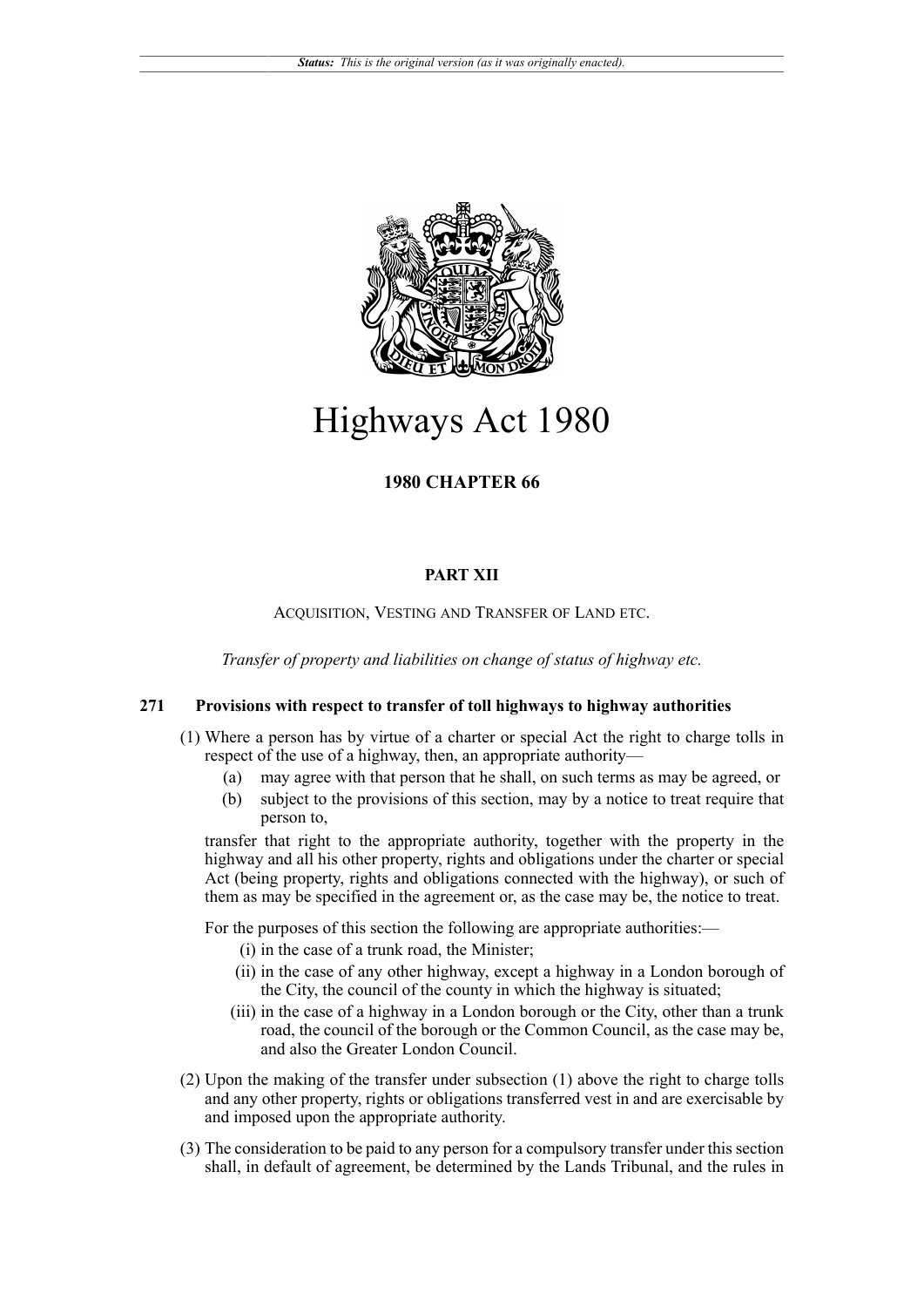

# Highways Act 1980

## **1980 CHAPTER 66**

#### **PART XII**

#### ACQUISITION, VESTING AND TRANSFER OF LAND ETC.

*Transfer of property and liabilities on change of status of highway etc.*

### **271 Provisions with respect to transfer of toll highways to highway authorities**

- (1) Where a person has by virtue of a charter or special Act the right to charge tolls in respect of the use of a highway, then, an appropriate authority—
	- (a) may agree with that person that he shall, on such terms as may be agreed, or
	- (b) subject to the provisions of this section, may by a notice to treat require that person to,

transfer that right to the appropriate authority, together with the property in the highway and all his other property, rights and obligations under the charter or special Act (being property, rights and obligations connected with the highway), or such of them as may be specified in the agreement or, as the case may be, the notice to treat.

For the purposes of this section the following are appropriate authorities:—

- (i) in the case of a trunk road, the Minister;
- (ii) in the case of any other highway, except a highway in a London borough of the City, the council of the county in which the highway is situated;
- (iii) in the case of a highway in a London borough or the City, other than a trunk road, the council of the borough or the Common Council, as the case may be, and also the Greater London Council.
- (2) Upon the making of the transfer under subsection (1) above the right to charge tolls and any other property, rights or obligations transferred vest in and are exercisable by and imposed upon the appropriate authority.
- (3) The consideration to be paid to any person for a compulsory transfer under this section shall, in default of agreement, be determined by the Lands Tribunal, and the rules in